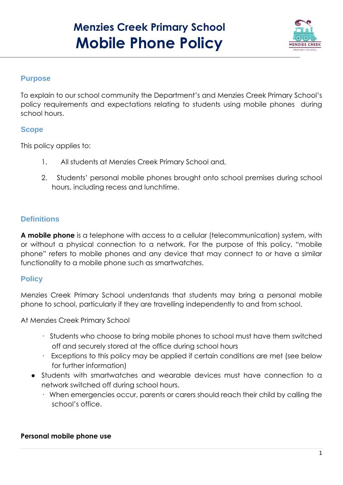# **Menzies Creek Primary School Mobile Phone Policy**



## **Purpose**

To explain to our school community the Department's and Menzies Creek Primary School's policy requirements and expectations relating to students using mobile phones during school hours.

## **Scope**

This policy applies to:

- 1. All students at Menzies Creek Primary School and,
- 2. Students' personal mobile phones brought onto school premises during school hours, including recess and lunchtime.

# **Definitions**

**A mobile phone** is a telephone with access to a cellular (telecommunication) system, with or without a physical connection to a network. For the purpose of this policy, "mobile phone" refers to mobile phones and any device that may connect to or have a similar functionality to a mobile phone such as smartwatches.

## **Policy**

Menzies Creek Primary School understands that students may bring a personal mobile phone to school, particularly if they are travelling independently to and from school.

At Menzies Creek Primary School

- · Students who choose to bring mobile phones to school must have them switched off and securely stored at the office during school hours
- · Exceptions to this policy may be applied if certain conditions are met (see below for further information)
- Students with smartwatches and wearable devices must have connection to a network switched off during school hours.
	- · When emergencies occur, parents or carers should reach their child by calling the school's office.

### **Personal mobile phone use**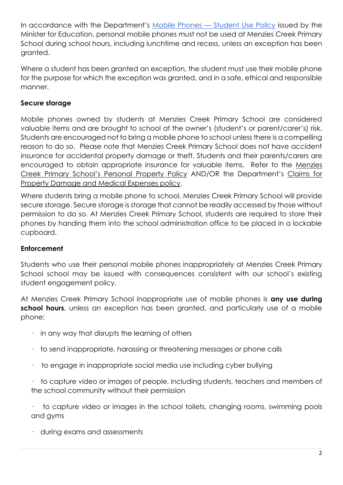In accordance with the Department's [M](https://www2.education.vic.gov.au/pal/students-using-mobile-phones/policy)obile Phones — [Student Use Policy](https://www2.education.vic.gov.au/pal/students-using-mobile-phones/policy) issued by the Minister for Education, personal mobile phones must not be used at Menzies Creek Primary School during school hours, including lunchtime and recess, unless an exception has been granted.

Where a student has been granted an exception, the student must use their mobile phone for the purpose for which the exception was granted, and in a safe, ethical and responsible manner.

## **Secure storage**

Mobile phones owned by students at Menzies Creek Primary School are considered valuable items and are brought to school at the owner's (student's or parent/carer's) risk. Students are encouraged not to bring a mobile phone to school unless there is a compelling reason to do so. Please note that Menzies Creek Primary School does not have accident insurance for accidental property damage or theft. Students and their parents/carers are encouraged to obtain appropriate insurance for valuable items. Refer to the [Menzies](https://docs.google.com/document/u/0/d/14751U5aV61xWRqzpg14F4LIt2wrkoacJ88d41rQxw-s/edit)  [Creek Primary School's Pe](https://docs.google.com/document/u/0/d/14751U5aV61xWRqzpg14F4LIt2wrkoacJ88d41rQxw-s/edit)rsonal Property Policy AND/OR the Department'[s](https://www2.education.vic.gov.au/pal/claims-property-damage-and-medical-expenses/policy) [Claims for](https://www2.education.vic.gov.au/pal/claims-property-damage-and-medical-expenses/policy)  [Property Damage and Medical Expenses policy.](https://www2.education.vic.gov.au/pal/claims-property-damage-and-medical-expenses/policy)

Where students bring a mobile phone to school, Menzies Creek Primary School will provide secure storage. Secure storage is storage that cannot be readily accessed by those without permission to do so. At Menzies Creek Primary School, students are required to store their phones by handing them into the school administration office to be placed in a lockable cupboard.

### **Enforcement**

Students who use their personal mobile phones inappropriately at Menzies Creek Primary School school may be issued with consequences consistent with our school's existing student engagement policy.

At Menzies Creek Primary School inappropriate use of mobile phones is **any use during school hours**, unless an exception has been granted, and particularly use of a mobile phone:

- $\cdot$  in any way that disrupts the learning of others
- · to send inappropriate, harassing or threatening messages or phone calls
- $\cdot$  to engage in inappropriate social media use including cyber bullying

· to capture video or images of people, including students, teachers and members of the school community without their permission

· to capture video or images in the school toilets, changing rooms, swimming pools and gyms

· during exams and assessments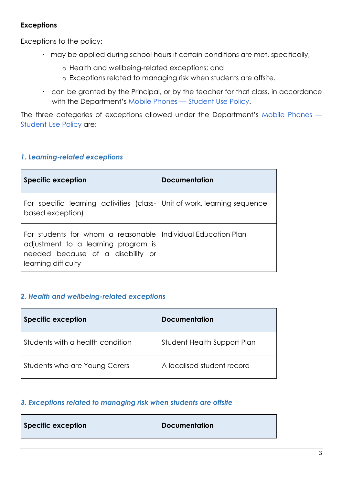## **Exceptions**

Exceptions to the policy:

- · may be applied during school hours if certain conditions are met, specifically,
	- o Health and wellbeing-related exceptions; and
	- o Exceptions related to managing risk when students are offsite.
- · can be granted by the Principal, or by the teacher for that class, in accordance with the Department'[s](https://www2.education.vic.gov.au/pal/students-using-mobile-phones/policy) Mobile Phones - [Student Use Policy.](https://www2.education.vic.gov.au/pal/students-using-mobile-phones/policy)

The three categories of exceptions allowed under the Department's [Mobile Phones](https://www2.education.vic.gov.au/pal/students-using-mobile-phones/policy) — [Student Use Policy](https://www2.education.vic.gov.au/pal/students-using-mobile-phones/policy) are:

### *1. Learning-related exceptions*

| Specific exception                                                                                                                    | Documentation             |
|---------------------------------------------------------------------------------------------------------------------------------------|---------------------------|
| For specific learning activities (class- Unit of work, learning sequence<br>based exception)                                          |                           |
| For students for whom a reasonable<br>adjustment to a learning program is<br>needed because of a disability or<br>learning difficulty | Individual Education Plan |

#### *2. Health and wellbeing-related exceptions*

| <b>Specific exception</b>        | <b>Documentation</b>        |
|----------------------------------|-----------------------------|
| Students with a health condition | Student Health Support Plan |
| Students who are Young Carers    | A localised student record  |

### *3. Exceptions related to managing risk when students are offsite*

| <b>Documentation</b><br>Specific exception |  |  |
|--------------------------------------------|--|--|
|--------------------------------------------|--|--|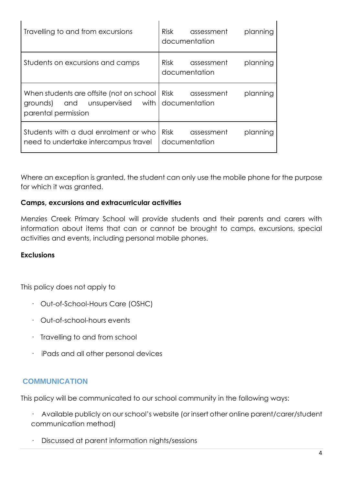| Travelling to and from excursions                                                                       | <b>Risk</b><br>planning<br>assessment<br>documentation |
|---------------------------------------------------------------------------------------------------------|--------------------------------------------------------|
| Students on excursions and camps                                                                        | <b>Risk</b><br>planning<br>assessment<br>documentation |
| When students are offsite (not on school<br>and unsupervised<br>with<br>grounds)<br>parental permission | <b>Risk</b><br>planning<br>assessment<br>documentation |
| Students with a dual enrolment or who<br>need to undertake intercampus travel                           | <b>Risk</b><br>assessment<br>planning<br>documentation |

Where an exception is granted, the student can only use the mobile phone for the purpose for which it was granted.

#### **Camps, excursions and extracurricular activities**

Menzies Creek Primary School will provide students and their parents and carers with information about items that can or cannot be brought to camps, excursions, special activities and events, including personal mobile phones.

#### **Exclusions**

This policy does not apply to

- · Out-of-School-Hours Care (OSHC)
- · Out-of-school-hours events
- · Travelling to and from school
- · iPads and all other personal devices

## **COMMUNICATION**

This policy will be communicated to our school community in the following ways:

- · Available publicly on our school's website (or insert other online parent/carer/student communication method)
- · Discussed at parent information nights/sessions